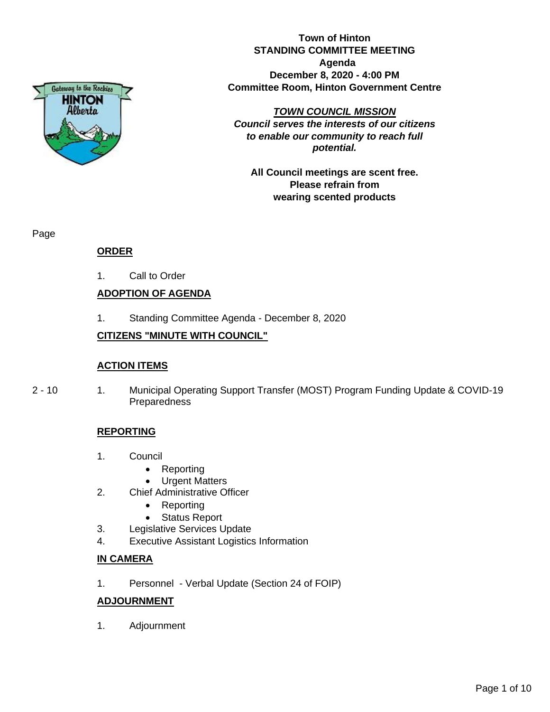

**Town of Hinton STANDING COMMITTEE MEETING Agenda December 8, 2020 - 4:00 PM Committee Room, Hinton Government Centre**

*TOWN COUNCIL MISSION*

*Council serves the interests of our citizens to enable our community to reach full potential.*

**All Council meetings are scent free. Please refrain from wearing scented products**

Page

## **ORDER**

1. Call to Order

## **ADOPTION OF AGENDA**

1. Standing Committee Agenda - December 8, 2020

## **CITIZENS "MINUTE WITH COUNCIL"**

## **ACTION ITEMS**

2 - 10 1. Municipal Operating Support Transfer (MOST) Program Funding Update & COVID-19 **Preparedness** 

## **REPORTING**

- 1. Council
	- Reporting
	- Urgent Matters
- 2. Chief Administrative Officer
	- Reporting
	- Status Report
- 3. Legislative Services Update
- 4. Executive Assistant Logistics Information

## **IN CAMERA**

1. Personnel - Verbal Update (Section 24 of FOIP)

## **ADJOURNMENT**

1. Adjournment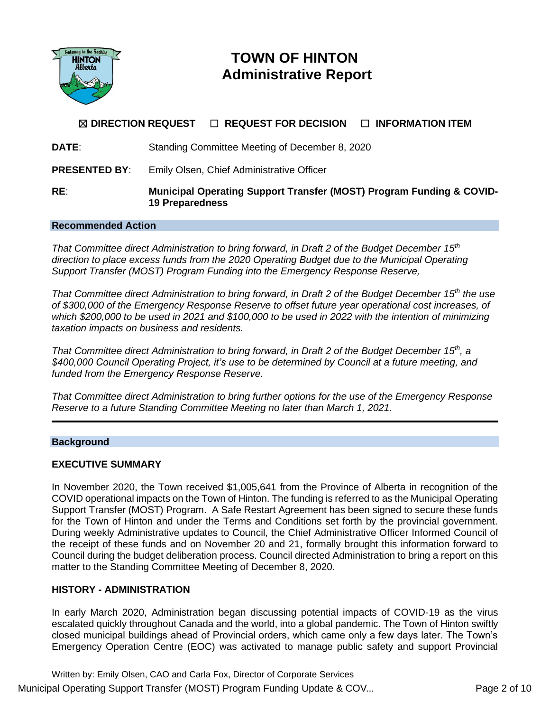

# **TOWN OF HINTON Administrative Report**

# ☒ **DIRECTION REQUEST** ☐ **REQUEST FOR DECISION** ☐ **INFORMATION ITEM DATE**: Standing Committee Meeting of December 8, 2020 **PRESENTED BY**: Emily Olsen, Chief Administrative Officer **RE**: **Municipal Operating Support Transfer (MOST) Program Funding & COVID-19 Preparedness**

#### **Recommended Action**

*That Committee direct Administration to bring forward, in Draft 2 of the Budget December 15th direction to place excess funds from the 2020 Operating Budget due to the Municipal Operating Support Transfer (MOST) Program Funding into the Emergency Response Reserve,*

*That Committee direct Administration to bring forward, in Draft 2 of the Budget December 15th the use of \$300,000 of the Emergency Response Reserve to offset future year operational cost increases, of which \$200,000 to be used in 2021 and \$100,000 to be used in 2022 with the intention of minimizing taxation impacts on business and residents.*

*That Committee direct Administration to bring forward, in Draft 2 of the Budget December 15th, a \$400,000 Council Operating Project, it's use to be determined by Council at a future meeting, and funded from the Emergency Response Reserve.* 

*That Committee direct Administration to bring further options for the use of the Emergency Response Reserve to a future Standing Committee Meeting no later than March 1, 2021.*

#### **Background**

## **EXECUTIVE SUMMARY**

In November 2020, the Town received \$1,005,641 from the Province of Alberta in recognition of the COVID operational impacts on the Town of Hinton. The funding is referred to as the Municipal Operating Support Transfer (MOST) Program. A Safe Restart Agreement has been signed to secure these funds for the Town of Hinton and under the Terms and Conditions set forth by the provincial government. During weekly Administrative updates to Council, the Chief Administrative Officer Informed Council of the receipt of these funds and on November 20 and 21, formally brought this information forward to Council during the budget deliberation process. Council directed Administration to bring a report on this matter to the Standing Committee Meeting of December 8, 2020.

## **HISTORY - ADMINISTRATION**

In early March 2020, Administration began discussing potential impacts of COVID-19 as the virus escalated quickly throughout Canada and the world, into a global pandemic. The Town of Hinton swiftly closed municipal buildings ahead of Provincial orders, which came only a few days later. The Town's Emergency Operation Centre (EOC) was activated to manage public safety and support Provincial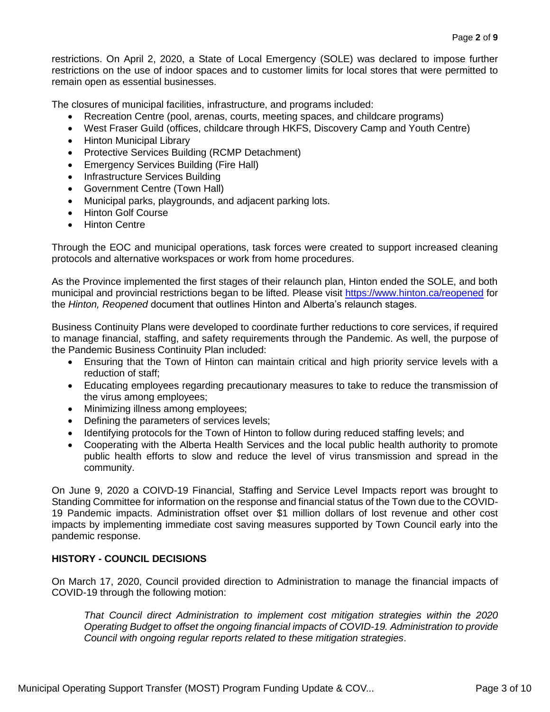restrictions. On April 2, 2020, a State of Local Emergency (SOLE) was declared to impose further restrictions on the use of indoor spaces and to customer limits for local stores that were permitted to remain open as essential businesses.

The closures of municipal facilities, infrastructure, and programs included:

- Recreation Centre (pool, arenas, courts, meeting spaces, and childcare programs)
- West Fraser Guild (offices, childcare through HKFS, Discovery Camp and Youth Centre)
- Hinton Municipal Library
- Protective Services Building (RCMP Detachment)
- Emergency Services Building (Fire Hall)
- Infrastructure Services Building
- Government Centre (Town Hall)
- Municipal parks, playgrounds, and adjacent parking lots.
- Hinton Golf Course
- Hinton Centre

Through the EOC and municipal operations, task forces were created to support increased cleaning protocols and alternative workspaces or work from home procedures.

As the Province implemented the first stages of their relaunch plan, Hinton ended the SOLE, and both municipal and provincial restrictions began to be lifted. Please visit<https://www.hinton.ca/reopened> for the *Hinton, Reopened* document that outlines Hinton and Alberta's relaunch stages.

Business Continuity Plans were developed to coordinate further reductions to core services, if required to manage financial, staffing, and safety requirements through the Pandemic. As well, the purpose of the Pandemic Business Continuity Plan included:

- Ensuring that the Town of Hinton can maintain critical and high priority service levels with a reduction of staff;
- Educating employees regarding precautionary measures to take to reduce the transmission of the virus among employees;
- Minimizing illness among employees;
- Defining the parameters of services levels;
- Identifying protocols for the Town of Hinton to follow during reduced staffing levels; and
- Cooperating with the Alberta Health Services and the local public health authority to promote public health efforts to slow and reduce the level of virus transmission and spread in the community.

On June 9, 2020 a COIVD-19 Financial, Staffing and Service Level Impacts report was brought to Standing Committee for information on the response and financial status of the Town due to the COVID-19 Pandemic impacts. Administration offset over \$1 million dollars of lost revenue and other cost impacts by implementing immediate cost saving measures supported by Town Council early into the pandemic response.

## **HISTORY - COUNCIL DECISIONS**

On March 17, 2020, Council provided direction to Administration to manage the financial impacts of COVID-19 through the following motion:

*That Council direct Administration to implement cost mitigation strategies within the 2020 Operating Budget to offset the ongoing financial impacts of COVID-19. Administration to provide Council with ongoing regular reports related to these mitigation strategies*.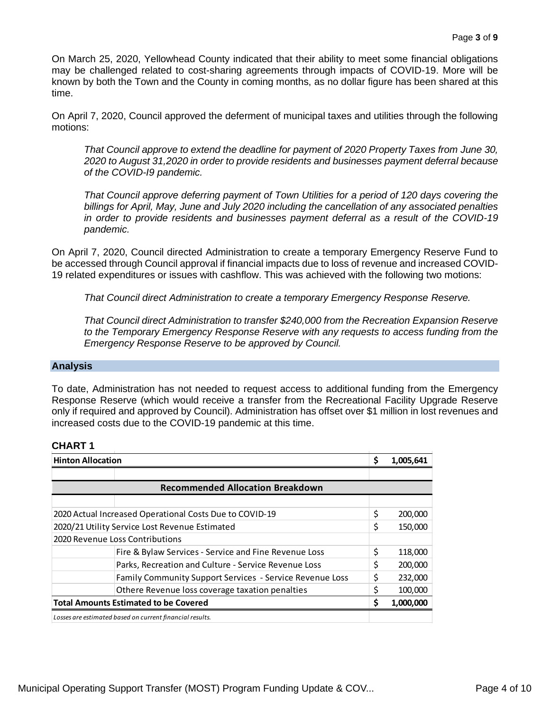On March 25, 2020, Yellowhead County indicated that their ability to meet some financial obligations may be challenged related to cost-sharing agreements through impacts of COVID-19. More will be known by both the Town and the County in coming months, as no dollar figure has been shared at this time.

On April 7, 2020, Council approved the deferment of municipal taxes and utilities through the following motions:

*That Council approve to extend the deadline for payment of 2020 Property Taxes from June 30, 2020 to August 31,2020 in order to provide residents and businesses payment deferral because of the COVID-I9 pandemic.*

*That Council approve deferring payment of Town Utilities for a period of 120 days covering the billings for April, May, June and July 2020 including the cancellation of any associated penalties in order to provide residents and businesses payment deferral as a result of the COVID-19 pandemic.*

On April 7, 2020, Council directed Administration to create a temporary Emergency Reserve Fund to be accessed through Council approval if financial impacts due to loss of revenue and increased COVID-19 related expenditures or issues with cashflow. This was achieved with the following two motions:

*That Council direct Administration to create a temporary Emergency Response Reserve.*

*That Council direct Administration to transfer \$240,000 from the Recreation Expansion Reserve to the Temporary Emergency Response Reserve with any requests to access funding from the Emergency Response Reserve to be approved by Council.*

## **Analysis**

To date, Administration has not needed to request access to additional funding from the Emergency Response Reserve (which would receive a transfer from the Recreational Facility Upgrade Reserve only if required and approved by Council). Administration has offset over \$1 million in lost revenues and increased costs due to the COVID-19 pandemic at this time.

#### **CHART 1**

| <b>Hinton Allocation</b>                                |                                                          | Ś  | 1,005,641 |  |
|---------------------------------------------------------|----------------------------------------------------------|----|-----------|--|
|                                                         |                                                          |    |           |  |
| <b>Recommended Allocation Breakdown</b>                 |                                                          |    |           |  |
|                                                         |                                                          |    |           |  |
| 2020 Actual Increased Operational Costs Due to COVID-19 |                                                          | \$ | 200,000   |  |
| 2020/21 Utility Service Lost Revenue Estimated          |                                                          | \$ | 150,000   |  |
| 2020 Revenue Loss Contributions                         |                                                          |    |           |  |
|                                                         | Fire & Bylaw Services - Service and Fine Revenue Loss    | Ś  | 118,000   |  |
|                                                         | Parks, Recreation and Culture - Service Revenue Loss     | Ś  | 200,000   |  |
|                                                         | Family Community Support Services - Service Revenue Loss |    | 232,000   |  |
|                                                         | Othere Revenue loss coverage taxation penalties          |    | 100,000   |  |
| <b>Total Amounts Estimated to be Covered</b>            |                                                          | S  | 1,000,000 |  |
|                                                         | Losses are estimated based on current financial results. |    |           |  |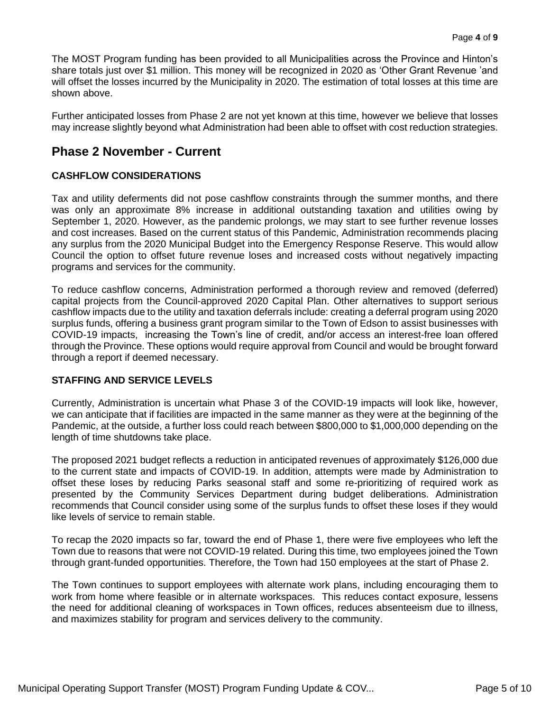The MOST Program funding has been provided to all Municipalities across the Province and Hinton's share totals just over \$1 million. This money will be recognized in 2020 as 'Other Grant Revenue 'and will offset the losses incurred by the Municipality in 2020. The estimation of total losses at this time are shown above.

Further anticipated losses from Phase 2 are not yet known at this time, however we believe that losses may increase slightly beyond what Administration had been able to offset with cost reduction strategies.

## **Phase 2 November - Current**

## **CASHFLOW CONSIDERATIONS**

Tax and utility deferments did not pose cashflow constraints through the summer months, and there was only an approximate 8% increase in additional outstanding taxation and utilities owing by September 1, 2020. However, as the pandemic prolongs, we may start to see further revenue losses and cost increases. Based on the current status of this Pandemic, Administration recommends placing any surplus from the 2020 Municipal Budget into the Emergency Response Reserve. This would allow Council the option to offset future revenue loses and increased costs without negatively impacting programs and services for the community.

To reduce cashflow concerns, Administration performed a thorough review and removed (deferred) capital projects from the Council-approved 2020 Capital Plan. Other alternatives to support serious cashflow impacts due to the utility and taxation deferrals include: creating a deferral program using 2020 surplus funds, offering a business grant program similar to the Town of Edson to assist businesses with COVID-19 impacts, increasing the Town's line of credit, and/or access an interest-free loan offered through the Province. These options would require approval from Council and would be brought forward through a report if deemed necessary.

## **STAFFING AND SERVICE LEVELS**

Currently, Administration is uncertain what Phase 3 of the COVID-19 impacts will look like, however, we can anticipate that if facilities are impacted in the same manner as they were at the beginning of the Pandemic, at the outside, a further loss could reach between \$800,000 to \$1,000,000 depending on the length of time shutdowns take place.

The proposed 2021 budget reflects a reduction in anticipated revenues of approximately \$126,000 due to the current state and impacts of COVID-19. In addition, attempts were made by Administration to offset these loses by reducing Parks seasonal staff and some re-prioritizing of required work as presented by the Community Services Department during budget deliberations. Administration recommends that Council consider using some of the surplus funds to offset these loses if they would like levels of service to remain stable.

To recap the 2020 impacts so far, toward the end of Phase 1, there were five employees who left the Town due to reasons that were not COVID-19 related. During this time, two employees joined the Town through grant-funded opportunities. Therefore, the Town had 150 employees at the start of Phase 2.

The Town continues to support employees with alternate work plans, including encouraging them to work from home where feasible or in alternate workspaces. This reduces contact exposure, lessens the need for additional cleaning of workspaces in Town offices, reduces absenteeism due to illness, and maximizes stability for program and services delivery to the community.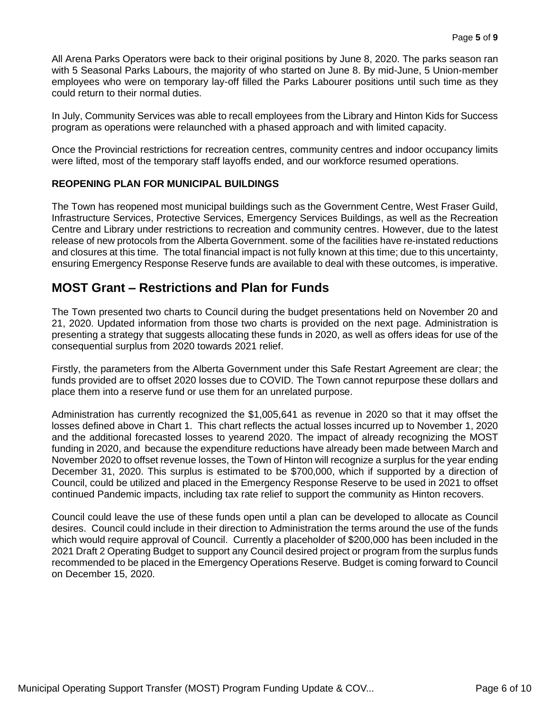All Arena Parks Operators were back to their original positions by June 8, 2020. The parks season ran with 5 Seasonal Parks Labours, the majority of who started on June 8. By mid-June, 5 Union-member employees who were on temporary lay-off filled the Parks Labourer positions until such time as they could return to their normal duties.

In July, Community Services was able to recall employees from the Library and Hinton Kids for Success program as operations were relaunched with a phased approach and with limited capacity.

Once the Provincial restrictions for recreation centres, community centres and indoor occupancy limits were lifted, most of the temporary staff layoffs ended, and our workforce resumed operations.

## **REOPENING PLAN FOR MUNICIPAL BUILDINGS**

The Town has reopened most municipal buildings such as the Government Centre, West Fraser Guild, Infrastructure Services, Protective Services, Emergency Services Buildings, as well as the Recreation Centre and Library under restrictions to recreation and community centres. However, due to the latest release of new protocols from the Alberta Government. some of the facilities have re-instated reductions and closures at this time. The total financial impact is not fully known at this time; due to this uncertainty, ensuring Emergency Response Reserve funds are available to deal with these outcomes, is imperative.

## **MOST Grant – Restrictions and Plan for Funds**

The Town presented two charts to Council during the budget presentations held on November 20 and 21, 2020. Updated information from those two charts is provided on the next page. Administration is presenting a strategy that suggests allocating these funds in 2020, as well as offers ideas for use of the consequential surplus from 2020 towards 2021 relief.

Firstly, the parameters from the Alberta Government under this Safe Restart Agreement are clear; the funds provided are to offset 2020 losses due to COVID. The Town cannot repurpose these dollars and place them into a reserve fund or use them for an unrelated purpose.

Administration has currently recognized the \$1,005,641 as revenue in 2020 so that it may offset the losses defined above in Chart 1. This chart reflects the actual losses incurred up to November 1, 2020 and the additional forecasted losses to yearend 2020. The impact of already recognizing the MOST funding in 2020, and because the expenditure reductions have already been made between March and November 2020 to offset revenue losses, the Town of Hinton will recognize a surplus for the year ending December 31, 2020. This surplus is estimated to be \$700,000, which if supported by a direction of Council, could be utilized and placed in the Emergency Response Reserve to be used in 2021 to offset continued Pandemic impacts, including tax rate relief to support the community as Hinton recovers.

Council could leave the use of these funds open until a plan can be developed to allocate as Council desires. Council could include in their direction to Administration the terms around the use of the funds which would require approval of Council. Currently a placeholder of \$200,000 has been included in the 2021 Draft 2 Operating Budget to support any Council desired project or program from the surplus funds recommended to be placed in the Emergency Operations Reserve. Budget is coming forward to Council on December 15, 2020.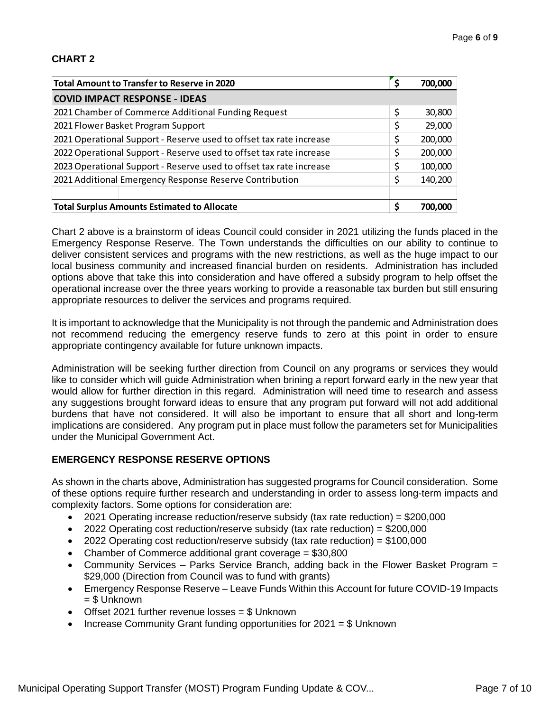## **CHART 2**

| <b>Total Amount to Transfer to Reserve in 2020</b>                  |    | 700,000 |
|---------------------------------------------------------------------|----|---------|
| <b>COVID IMPACT RESPONSE - IDEAS</b>                                |    |         |
| 2021 Chamber of Commerce Additional Funding Request                 | \$ | 30,800  |
| 2021 Flower Basket Program Support                                  | \$ | 29,000  |
| 2021 Operational Support - Reserve used to offset tax rate increase | \$ | 200,000 |
| 2022 Operational Support - Reserve used to offset tax rate increase | \$ | 200,000 |
| 2023 Operational Support - Reserve used to offset tax rate increase | \$ | 100,000 |
| 2021 Additional Emergency Response Reserve Contribution             |    | 140,200 |
|                                                                     |    |         |
| <b>Total Surplus Amounts Estimated to Allocate</b>                  | Ś  | 700,000 |

Chart 2 above is a brainstorm of ideas Council could consider in 2021 utilizing the funds placed in the Emergency Response Reserve. The Town understands the difficulties on our ability to continue to deliver consistent services and programs with the new restrictions, as well as the huge impact to our local business community and increased financial burden on residents. Administration has included options above that take this into consideration and have offered a subsidy program to help offset the operational increase over the three years working to provide a reasonable tax burden but still ensuring appropriate resources to deliver the services and programs required.

It is important to acknowledge that the Municipality is not through the pandemic and Administration does not recommend reducing the emergency reserve funds to zero at this point in order to ensure appropriate contingency available for future unknown impacts.

Administration will be seeking further direction from Council on any programs or services they would like to consider which will guide Administration when brining a report forward early in the new year that would allow for further direction in this regard. Administration will need time to research and assess any suggestions brought forward ideas to ensure that any program put forward will not add additional burdens that have not considered. It will also be important to ensure that all short and long-term implications are considered. Any program put in place must follow the parameters set for Municipalities under the Municipal Government Act.

## **EMERGENCY RESPONSE RESERVE OPTIONS**

As shown in the charts above, Administration has suggested programs for Council consideration. Some of these options require further research and understanding in order to assess long-term impacts and complexity factors. Some options for consideration are:

- 2021 Operating increase reduction/reserve subsidy (tax rate reduction) = \$200,000
- 2022 Operating cost reduction/reserve subsidy (tax rate reduction) = \$200,000
- 2022 Operating cost reduction/reserve subsidy (tax rate reduction) =  $$100,000$
- Chamber of Commerce additional grant coverage = \$30,800
- Community Services Parks Service Branch, adding back in the Flower Basket Program = \$29,000 (Direction from Council was to fund with grants)
- Emergency Response Reserve Leave Funds Within this Account for future COVID-19 Impacts  $=$  \$ Unknown
- Offset 2021 further revenue losses = \$ Unknown
- Increase Community Grant funding opportunities for 2021 = \$ Unknown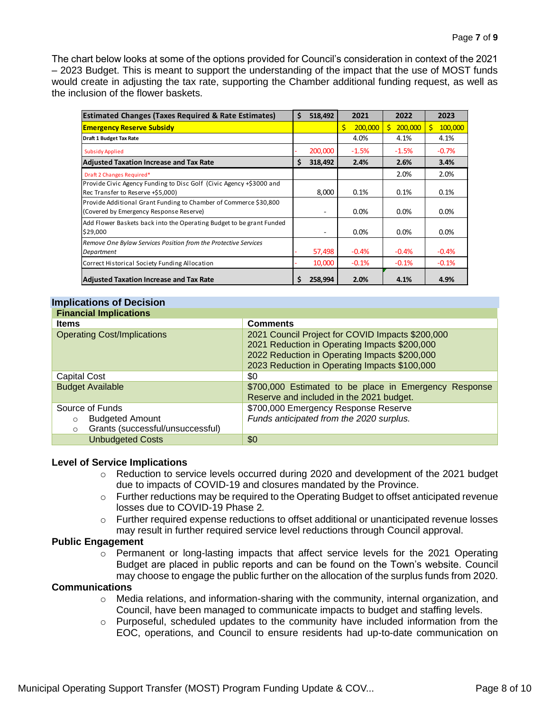The chart below looks at some of the options provided for Council's consideration in context of the 2021 – 2023 Budget. This is meant to support the understanding of the impact that the use of MOST funds would create in adjusting the tax rate, supporting the Chamber additional funding request, as well as the inclusion of the flower baskets.

| <b>Estimated Changes (Taxes Required &amp; Rate Estimates)</b>                                              | \$<br>518.492 |    | 2021    |    | 2022    |    | 2023    |
|-------------------------------------------------------------------------------------------------------------|---------------|----|---------|----|---------|----|---------|
| <b>Emergency Reserve Subsidy</b>                                                                            |               | Ś. | 200,000 | Ŝ. | 200,000 | Ŝ. | 100,000 |
| Draft 1 Budget Tax Rate                                                                                     |               |    | 4.0%    |    | 4.1%    |    | 4.1%    |
| <b>Subsidy Applied</b>                                                                                      | 200,000       |    | $-1.5%$ |    | $-1.5%$ |    | $-0.7%$ |
| <b>Adjusted Taxation Increase and Tax Rate</b>                                                              | \$<br>318,492 |    | 2.4%    |    | 2.6%    |    | 3.4%    |
| Draft 2 Changes Required*                                                                                   |               |    |         |    | 2.0%    |    | 2.0%    |
| Provide Civic Agency Funding to Disc Golf (Civic Agency +\$3000 and<br>Rec Transfer to Reserve +\$5,000)    | 8,000         |    | 0.1%    |    | 0.1%    |    | 0.1%    |
| Provide Additional Grant Funding to Chamber of Commerce \$30,800<br>(Covered by Emergency Response Reserve) | ٠             |    | 0.0%    |    | $0.0\%$ |    | $0.0\%$ |
| Add Flower Baskets back into the Operating Budget to be grant Funded<br>\$29,000                            | ۰             |    | $0.0\%$ |    | $0.0\%$ |    | $0.0\%$ |
| Remove One Bylaw Services Position from the Protective Services<br>Department                               | 57,498        |    | $-0.4%$ |    | $-0.4%$ |    | $-0.4%$ |
| Correct Historical Society Funding Allocation                                                               | 10,000        |    | $-0.1%$ |    | $-0.1%$ |    | $-0.1%$ |
| <b>Adjusted Taxation Increase and Tax Rate</b>                                                              | \$<br>258,994 |    | 2.0%    |    | 4.1%    |    | 4.9%    |

#### **Implications of Decision**

| <b>Financial Implications</b>               |                                                       |  |  |  |  |
|---------------------------------------------|-------------------------------------------------------|--|--|--|--|
| <b>Items</b>                                | <b>Comments</b>                                       |  |  |  |  |
| <b>Operating Cost/Implications</b>          | 2021 Council Project for COVID Impacts \$200,000      |  |  |  |  |
|                                             | 2021 Reduction in Operating Impacts \$200,000         |  |  |  |  |
|                                             | 2022 Reduction in Operating Impacts \$200,000         |  |  |  |  |
|                                             | 2023 Reduction in Operating Impacts \$100,000         |  |  |  |  |
| <b>Capital Cost</b>                         | \$0                                                   |  |  |  |  |
| <b>Budget Available</b>                     | \$700,000 Estimated to be place in Emergency Response |  |  |  |  |
|                                             | Reserve and included in the 2021 budget.              |  |  |  |  |
| Source of Funds                             | \$700,000 Emergency Response Reserve                  |  |  |  |  |
| <b>Budgeted Amount</b><br>$\circ$           | Funds anticipated from the 2020 surplus.              |  |  |  |  |
| Grants (successful/unsuccessful)<br>$\circ$ |                                                       |  |  |  |  |
| <b>Unbudgeted Costs</b>                     | \$0                                                   |  |  |  |  |

#### **Level of Service Implications**

- o Reduction to service levels occurred during 2020 and development of the 2021 budget due to impacts of COVID-19 and closures mandated by the Province.
- $\circ$  Further reductions may be required to the Operating Budget to offset anticipated revenue losses due to COVID-19 Phase 2*.*
- o Further required expense reductions to offset additional or unanticipated revenue losses may result in further required service level reductions through Council approval.

#### **Public Engagement**

o Permanent or long-lasting impacts that affect service levels for the 2021 Operating Budget are placed in public reports and can be found on the Town's website. Council may choose to engage the public further on the allocation of the surplus funds from 2020.

#### **Communications**

- $\circ$  Media relations, and information-sharing with the community, internal organization, and Council, have been managed to communicate impacts to budget and staffing levels.
- $\circ$  Purposeful, scheduled updates to the community have included information from the EOC, operations, and Council to ensure residents had up-to-date communication on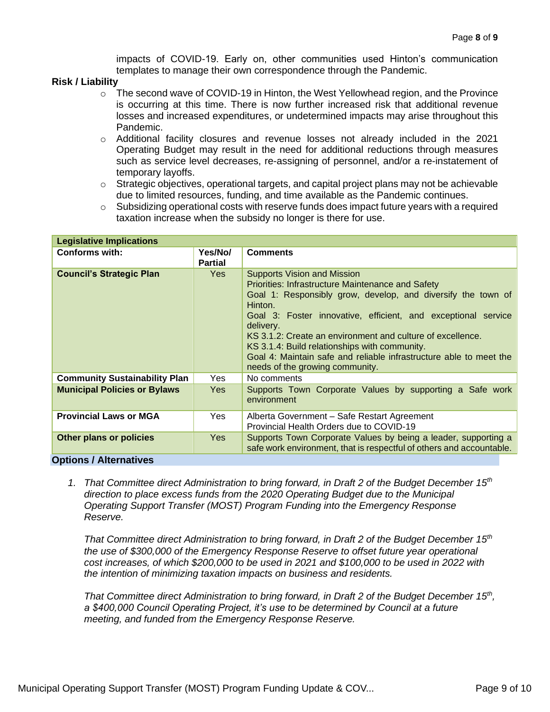impacts of COVID-19. Early on, other communities used Hinton's communication templates to manage their own correspondence through the Pandemic.

#### **Risk / Liability**

- o The second wave of COVID-19 in Hinton, the West Yellowhead region, and the Province is occurring at this time. There is now further increased risk that additional revenue losses and increased expenditures, or undetermined impacts may arise throughout this Pandemic.
- o Additional facility closures and revenue losses not already included in the 2021 Operating Budget may result in the need for additional reductions through measures such as service level decreases, re-assigning of personnel, and/or a re-instatement of temporary layoffs.
- $\circ$  Strategic objectives, operational targets, and capital project plans may not be achievable due to limited resources, funding, and time available as the Pandemic continues.
- o Subsidizing operational costs with reserve funds does impact future years with a required taxation increase when the subsidy no longer is there for use.

| <b>Legislative Implications</b>      |                           |                                                                                                                                                                                                                                                                                                                                                                                                                                                                                 |  |  |
|--------------------------------------|---------------------------|---------------------------------------------------------------------------------------------------------------------------------------------------------------------------------------------------------------------------------------------------------------------------------------------------------------------------------------------------------------------------------------------------------------------------------------------------------------------------------|--|--|
| <b>Conforms with:</b>                | Yes/No/<br><b>Partial</b> | <b>Comments</b>                                                                                                                                                                                                                                                                                                                                                                                                                                                                 |  |  |
| <b>Council's Strategic Plan</b>      | <b>Yes</b>                | <b>Supports Vision and Mission</b><br><b>Priorities: Infrastructure Maintenance and Safety</b><br>Goal 1: Responsibly grow, develop, and diversify the town of<br>Hinton.<br>Goal 3: Foster innovative, efficient, and exceptional service<br>delivery.<br>KS 3.1.2: Create an environment and culture of excellence.<br>KS 3.1.4: Build relationships with community.<br>Goal 4: Maintain safe and reliable infrastructure able to meet the<br>needs of the growing community. |  |  |
| <b>Community Sustainability Plan</b> | <b>Yes</b>                | No comments                                                                                                                                                                                                                                                                                                                                                                                                                                                                     |  |  |
| <b>Municipal Policies or Bylaws</b>  | <b>Yes</b>                | Supports Town Corporate Values by supporting a Safe work<br>environment                                                                                                                                                                                                                                                                                                                                                                                                         |  |  |
| <b>Provincial Laws or MGA</b>        | <b>Yes</b>                | Alberta Government - Safe Restart Agreement<br>Provincial Health Orders due to COVID-19                                                                                                                                                                                                                                                                                                                                                                                         |  |  |
| Other plans or policies              | <b>Yes</b>                | Supports Town Corporate Values by being a leader, supporting a<br>safe work environment, that is respectful of others and accountable.                                                                                                                                                                                                                                                                                                                                          |  |  |
| <b>Options / Alternatives</b>        |                           |                                                                                                                                                                                                                                                                                                                                                                                                                                                                                 |  |  |

*1. That Committee direct Administration to bring forward, in Draft 2 of the Budget December 15th direction to place excess funds from the 2020 Operating Budget due to the Municipal Operating Support Transfer (MOST) Program Funding into the Emergency Response Reserve.*

*That Committee direct Administration to bring forward, in Draft 2 of the Budget December 15th the use of \$300,000 of the Emergency Response Reserve to offset future year operational cost increases, of which \$200,000 to be used in 2021 and \$100,000 to be used in 2022 with the intention of minimizing taxation impacts on business and residents.*

*That Committee direct Administration to bring forward, in Draft 2 of the Budget December 15th , a \$400,000 Council Operating Project, it's use to be determined by Council at a future meeting, and funded from the Emergency Response Reserve.*